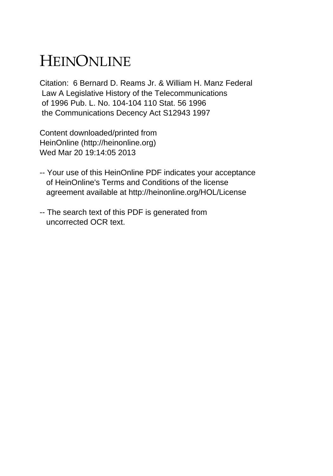# HEINONLINE

Citation: 6 Bernard D. Reams Jr. & William H. Manz Federal Law A Legislative History of the Telecommunications of 1996 Pub. L. No. 104-104 110 Stat. 56 1996 the Communications Decency Act S12943 1997

Content downloaded/printed from HeinOnline (http://heinonline.org) Wed Mar 20 19:14:05 2013

- -- Your use of this HeinOnline PDF indicates your acceptance of HeinOnline's Terms and Conditions of the license agreement available at http://heinonline.org/HOL/License
- -- The search text of this PDF is generated from uncorrected OCR text.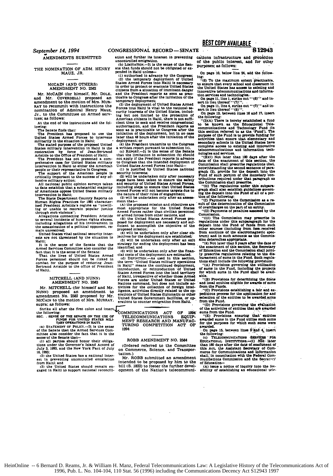(b) LINITATION.-It is the sense of the Sen-<br>THE NOMINATION OF ADM. HENRY ate that funds should not be obligated or ex-<br>MAUZ, JR. (1) authorized in advance by the Congress;

and Mr. COVERDELL) proposed an ticable to Congress after the initiation of the amendment to the motion of Mrs. MUR-<br>amendment to the motion of Mrs. MURand Mr. Coverage and the motion of Mrs. MuR-<br>
Emporary deployment.<br>
RAY to recommit with instructions the control of distance is the depty<br>
next of the motion of Mrs. The correction of the motion is<br>  $\frac{1}{2}$ . The contro

States military intervention in Haiti is the<br>estimated of the Artistic restoration by force of Jean-Bertrand<br>Artistic to the Office of Pesident of Haiti;<br>The President has not presented a com-<br>prehensive case for United St

All national public opinion surveys taken and security of United States Armed Forose, to date establish that a substantial majority including steps to ensure that United States of Americans oppose United States military A

including allegations of his involvement in the assassination of a political opponent. re-

main unresolved;<br>| United States vital national security intereste are not threatened by the situation in Halti;

It:<br>It is the sense of the Senate that the strategy for ending the deployment has been<br>pred Services Committee also consider the identified; and<br>the intertaken only after the finan-<br>That it is the senate:<br>That the lives of Armed Services Committee also consider the identified; and<br>armed Services Committee also consider the identified; and undertaken only after the finan-<br>fact that it is the sense of the States Armed cial costs of the deploym

MURRAY. The **MCCAIN CAINST CONSTRATION** IN THE MORE AND STATE of the parendment No. 2582 proposed by Mr. traitions of counter emigration facilities, or op-<br>MCCAIN to the motion of Mrs. MURRAY. *arations* to counter emigr

upra; as follows:<br>Strike all after the first colon and insert.<br>COMMUNICATIONS

of the Senate that the Armed Services Com-<br>of the Senate that the Armed Services Com-<br>mittee also consider the fact that it is the

once also consider the fact that it is the<br>
sense of the Senate that it is the<br>
(1) all parties should bonor their obliga.<br>
(1) all parties should bonor their obliga.<br>
(1) all parties should bonor their obliga.<br>
(1) all pa

(2) the United States has a national inter- tation.)<br>
(2) the United States has a national inter- tation.)<br>
(2) the United States has a national inter- Mr. ROBB submitted an amendment est in preventing uncontrolled emigration from Haiti; and

**AMENDMENTS SUBMITTED** ation and further its interest in preventing uncontrolled emigration.

**-12)** the temporary deployment **of** United MCCAIN (AND OTHERS) States Armed Forces into Haiti is necessary<br> **AMENDMENT NO. 2582 citizens from a situation of imminent danger**<br> **Mr. McCAIN** (for himself, Mr. DOLE, and the President reports as soon as prac-In order to protect or evacuate ontent danger<br>citizens from a situation of imminent danger<br>and the President reports as soon as prac-<br>ticable to Congress after the initiation of the

Jr., to the Committee on Armed serv-<br>ing but not limited to the protection of<br>American citizens in Haith, there is not and<br>A the end of the instructions add the fol-<br>cient times o seek and receive congressional<br>lowing:<br> $\frac$ lowing:<br>
Implementation, and the President reports as<br>
The Senate finds that:<br>
The Senate finds that:<br>
The President has proposed to use the initiation of the deployment, but in no case<br>
United States Armed Porces to incre

prehensive case for United States military to Congress that the intended deployment of United States Armed Forces into Halti-

critical States Armour ortess into the success of any of-<br>critical states any of-<br>second security interests;<br>the military actions have been taken to ensure the safety<br>and security of United States Armed Forces,

Ing or unable to restrain popular justice most appropriate for the United States<br>through mob violence":<br>Armed Forces rather than civilian personnel<br>Allegations connecting President Aristide Or armed forces from other natio

Including allegations of the United States Armed Forces pro-<br>posed for deployment are necessary and suf-<br>ficient to accomplish the objective of the

United States vital national security inter- (4) will be undertaken only after clear **oh.** Haiti: **(5)** will be undertaken only after **an** exit

bet wally alliable to the office of Freshield. introduction, or reintroduction of United States Armed Forces into the land territory MITCHELL (AND NUNN) of Haiti, irrespective of whether those Armed<br>AMENDMENT NO. 2583 Forces are under United States or United<br>Nations command, but does not include ac-Mr. MITCHELL (for himself and Mr. tivities for the collection of foreign intellations)<br>NUNN) proposed an amendment to ligence, activities directly related to the op-<br>NUNN) proposed by Mr. frations of United States diplomat

the following:<br>
SEC. SENSE OF THE SENATE ON THE USE OF COMMUNICATIONS EQUIP-<br>
SEC. SENSE FUNDS FOR UNITED STATES MILI-<br>
TARY OF FORM TORE TAND RESEARCH AND MANUFAC-<br>
(a) STATEMENT OF POLICY.--It is the sense TURING COMPETI

from Haiti. and intended to be proposed **by** him to the **0)** the United States should remain en- bill **(S. 1822)** to foster the further devel-**gaged** in Haiti to support national reconcill- opment of the Nation's telecommuniBEST COPY **AVAILABLE -**

aitions infrastructure **and** i'o1t4tion **if** the public interest, and for **other purposes;** as **follows:**

On **page 10.** below line 24. add the **follow-**

ure:<br>"(9) To the maximum extent practicable.<br>to ensure that every school and classroom in<br>the United States has access to existing and-<br>innovative telecommunications and-informa-

tion services and technologies.<br>, On page 11, line 1, strike out **'''(8)' '' and in-**<br>sert in lieu thereof '''(7)'.''.

On Page **11.** line 4. strike out **"'(7)'" and** in-sert in lieu thereof **"'(8)' ". "** On **Page** 12. between lines **16** and **17,** insert the following:

"(3)(A) There is hereby established a fund<br>to be known as the Educational Tele-<br>communications and Technology Fund (in<br>this section referred to as the 'Fund'). The<br>purpose of the Fund is to provide funding for<br>activities secondary schools in the United States have complete access to existing **and** innovative telecommunlcations and Information tech-

nologies and services.<br>
"(BM) Not later than 130 days after the<br>
"(BM) Not later than 130 days after the<br>
commission shall prescribe regulations that<br>
commission shall prescribe regulations that<br>
graph (2), provide for the

tributions required under that paragraph as the Commission **shall** prescribe. **, "l()** The regulations under this Subpara-graph **shall** also establish guidelines- govern-

Ing the deposit into the Fund of all or a portion of the following:<br>"(I) Payments to the Commission as a re--<br>suit of the determination of the Commission

of overcharges on the part **Of** an entity. **"(1)** Payments of penalties **assessed by** the

Commission. "(liII The Commission **may** prescribe in regulations under this subliwagraph for the deposit into the Fund of funds from such other sources (includlng from **fee** received from auctions **of** the electromagnetic spectrum) **and** in such amounts as the Commis-**slon** determine appropriate. **"(4) Not** later than 2 **years after** the date of

the enactment of this section. the Secretary of Education and the Commission shall joint-**ly** prescribe regulations relating to the **dis-**burement of sums in the Fund. Such regula-

tions shall include the following provisions:<br>"(A) Provisions governing the utilization<br>of sums in the Fund, including the projects<br>for which sums in the Fund shall be avail-

able.<br>
"(B) Provisions for determining the State<br>and local entities eligible for **awards** of sums<br>from the Funds.

**"(C)** Provisions establishing **a** fair and **ex-.** peditious process for the application for and selection **of** the entities to be awarded sums from the Fund.

**"(D)** Provisions governing the eau'ation of the activities of entities that **ar** awarded

sums from the Fund. **"(E)** Provisions ensuring **itat"** Entities awarded sums in the Fund utilixe **such sums** for the purposes for which such **sums** were awarded.

On page 15, between lines 3 and 4, insert

the following:<br>
(c) TELECOMMUNICATIONS SERVICES FOR<br>
(C) TELECOMMUNICATIONS --(1) NOt later<br>
than 180 days after the date of enadtment of<br>
this Act, the Assistant Secretary of Com**merce** for Communications and Information shall. **in** consultation with the Federal Com-munibations Commision and the 8ecret-'r of Education-

**(A) issue a** notice of inquiry into the fea-sibility of establishing **an** educational **rol-**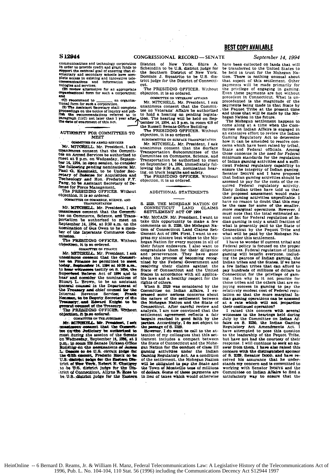mmunications and technology corporation In order to provide credit and grant funds to support the national goal of ensuring that elementary and secondary schools have complete access to existing and innovative telecommunications and information technologies and services;<br>
(B) review alternative for an appropriate

organizational form for such a corporation:

⊶.<br>⊶ G commend to an organizational form for such a corporation.

Can have a contract be contained.<br>
The Assistant Secretary shall complete coosedings on the notice of inquiry and public the recommendations referred to in paragraph (1)(C) not later than 1 year after

AUTHORITY FOR COMMITTEES TO **MEET** 

**COMBETTEE ON ARMED SERVICES** 

Mr. MTCHELL. Mr. President, I ask tee on Armed Services be authorized to at 2 p.m. on Wednesday, Septemmeet ber 14, 1994, in open session, to consider the following pending nominations: Mr. Paul G. Kaminaki, to be Under Secretary of Dasense for Acquisition and Technology and Hon. Frederick F.Y.<br>Pang, to be Assistant Secretary of Defense for Force Management.<br>The PRESIDING OFFICER. Without

objection, it is so ordered.

OCHMITTER ON COMMERCE, SCIENCE, AND TRANSPORTATION

Mr. MITCHELL. Mr. President. I ask unanimous consent that the Committee on Commerce, Science, and Transportation be authorized to meet on<br>September 14, 1994, at 9:30 a.m. on the nomination of Gus Owen to be a member of the Interatate Commerce Commissio

The PRESIDING OFFICER, Without objection, it is so criered.

**COMMITTEE ON FINANCE** 

Mr. MTTCHELL, Mr. President, Lask unamimous consent that the Commuttes an Finance be permitted to meet<br>today. September 14, 1994 at 19:30 a.m.,<br>to hear witnesses testify on S. 1894, the<br>Superfund Reform Act of 1994 and to hear and consider the nominations of Stuart L. Brown to be an assistant ganeral counsel in the Department of the Treasury and chief counsel for the Internal Revenue Service; Frank Mennian, to be Deputy Secretary of the<br>Treasury, and Edward Knight to be<br>granted countered the Treasury.

objection, it is so endered.

COMMITTER ON THE JUNIORARY

Mr. MITCHELL. Mr. President, I ask unautower content that the Commit-<br>tee on the Judiciary be authorized to<br>meet during the session of the Senate nus, the main woman Spitember 14, 1394, at 2<br>p.m., in momen 226 Senate Dirksen Office<br>Buildings on the sommentions of James<br>L. Descrit for the sommer Le diffin chemic. Prederic Block to be<br>U.S. district judge for the Eastern District of New York, Rebert N. Chatigny to be U.S. district judge for the District of Connecticut. Allyne R. Ecss to be U.S. district judge for the Eastern  $\mathbb{R}^2$ 

District. of New York. Shira  $\mathbf{A}$ Scheindlin to be U.S. district judge for the Southern District of New York Dominic J. Squatrito to be U.S. district judge for the District of Connectient.

The PRESIDING OFFICER. Without objection, it is so ordered.

COMMITTEE ON VETERANS' AFFAIRS

Mr. MITCHELL. Mr. President, I ask<br>unanimous consent that the Commit-<br>tee on Veterans' Affairs be authorized to hold a hearing on pending legislation. The hearing will be held on September 14, 1994, at 2 p.m. in room 418 of the Russell Senate Office Building

The PRESIDING OFFICER. Without objection, it is so ordered.

SUBCOMMITTEE ON SURFACE TRANSPORTATION Mr. MITCHELL. Mr. President, I ask unanimous consent that the Surface Transportation Subcommittee of the<br>Committee on Commerce, Science, and Transportation be authorized to meet<br>on September 14, 1994, immediately following the 9:30 a.m. nomination hear-

ing. on truck lengths and safety.<br>The PRESIDING OFFICER, Without objection, it is so ordered.

### **ADDITIONAL STATEMENTS**

S. 2329, THE MOHEGAN NATION OF CONNECTICUT LAND CLAIMS<br>SETTLEMENT ACT OF 1994

. Mr. MCCAIN. Mr. President, I want to take this opportunity to make a few<br>comments on S. 2329, the Mohegan Nation of Connecticut Land Claims Settlement Act of 1994. First, I want to express my sincere best wishes to the Mohegan Nation for every success in all of their future endeavors. I also want to congratulate them for their diligence congratuitate them for their diligence<br>about the process of becoming recog-<br>nized by the Federal Government and resolving their claims against the<br>State of Connecticut and the United States in accordance with all applicable laws and a healthy respect for the rights of others.

When S. 2329 was considered by the Committee on Indian Affairs. I expressed some serious concerns about the nature of the settlement between the Mohegan Nation and the State of Connecticut. After careful review and analysis, I am now convinced that the settlement agreement reflects a fair<br>bargain reached in good faith by the<br>parties. Accordingly, I do not object to the passage of S. 2329.

However. I do want to call to the attention of my colleagues that this settlement includes a compact between the State of Connecticut and the Mohesen Nation for the conduct of class III<br>gaming activities under the Indian Gaming Regulatory Act. As a condition of the settlement, the Mohegan Nation<br>will be obligated to pay the State and the Town of Montville tens of millions of dollars. Some of these navments are in lieu of taxes which would otherwise

### **BEST COPY AVAILABLE**

September 14, 1994

have been collected on lands that will be transferred to the United States to be held in trust for the Mohegan Nation. There is nothing unusual about<br>that aspect of this settlement. Other navments will be made primarily for the privilege of engaging in gaming. Even these payments are not without precedent in Connecticut. What is unprecedented is the magnitude of the<br>payments being made in that State by the Pequot Tribe at the present time<br>and those that will be made by the Mohegan Nation in the future.

The Mohegan settlement happens to come along at a time when the Com-<br>mittee on Indian Affairs is engaged in an extensive effort to review the Indian Gaming Regulatory Act to determine<br>how it can be amended to resolve concerns which have been raised by tribal, State and Federal officials. Among those concerns is the need for Federal<br>minimum standards for the regulation of Indian gaming activities and a sufficient Federal regulatory canability to ensure the integrity of Indian gaming.<br>Senator INOUYE and I have proposed that Indian gaming activities should be assessed to pay for the costs of the required Federal regulatory activity.<br>Many Indian tribes have told us that the proposed assessment would make have no reason to doubt that this may be the case for some of the smaller more marginal operations. However, I must note that the total estimated annual cost for Federal regulation of Indian raming is only a small fraction of what is presently paid to the State of Connecticut by the Pequot Tribe and<br>what will be paid by the Mohegan Nation under this settlement.

I have to wonder if current tribal and Federal policy is focused on the proper objectives. Federal regulation of Indian gaming will benefit everyone. including the patrons of Indian gaming, the Indian tribes and the States. If we have a few Indian tribes that can afford to pay hundreds of millions of dollars to Connecticut for the privilege of gaming. then why is it not possible for those tribes and the others that are enjoying success in gaming to pay the<br>relatively modest cost of Federal regulation so that the more marginal Indian gaming operations can be asses at a rate which will not jeopardize their continued operation?

Their continuous operators and the bearings held during<br>the concern with several<br>witnesses in the bearings held during<br>July by the Committee on Indian A4-<br>fairs on S. 2230, the Indian mains<br>Regulatory Act. Amendments Act. have attempted to pose this question<br>to the leadership of the Pequot Tribe. but have not had the courtesy of their response. I will continue to seek an answer from them. I have also raised this concern with the distinguished sponsor of S. 2329, Senator Dopp, and have received his assurance that he understands my concern and is committed to working with Senator INOUYS and the Committee on Indian Affairs to find a satisfactory way to ensure that the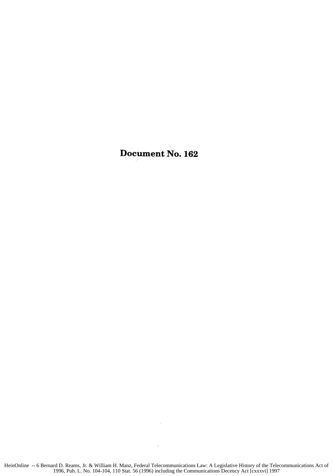## Document No. **162**

 $\cdot$